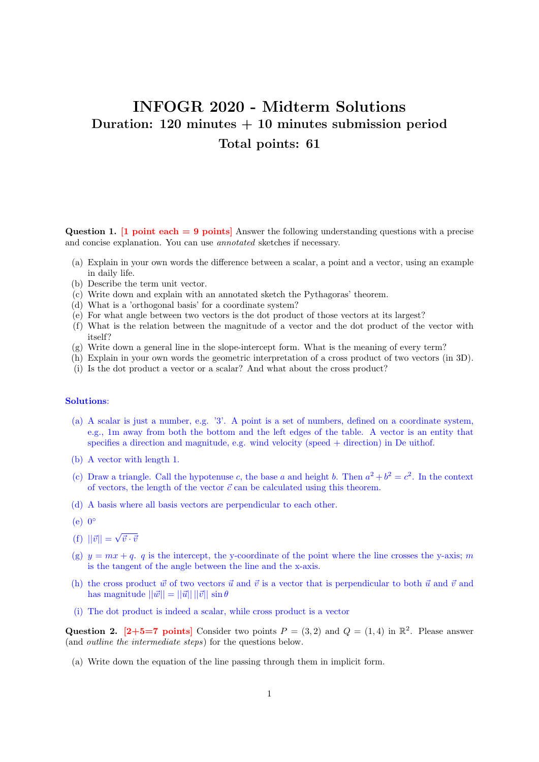# INFOGR 2020 - Midterm Solutions Duration:  $120$  minutes  $+10$  minutes submission period Total points: 61

Question 1.  $\boxed{1}$  point each = 9 points Answer the following understanding questions with a precise and concise explanation. You can use annotated sketches if necessary.

- (a) Explain in your own words the difference between a scalar, a point and a vector, using an example in daily life.
- (b) Describe the term unit vector.
- (c) Write down and explain with an annotated sketch the Pythagoras' theorem.
- (d) What is a 'orthogonal basis' for a coordinate system?
- (e) For what angle between two vectors is the dot product of those vectors at its largest?
- (f) What is the relation between the magnitude of a vector and the dot product of the vector with itself?
- (g) Write down a general line in the slope-intercept form. What is the meaning of every term?
- (h) Explain in your own words the geometric interpretation of a cross product of two vectors (in 3D).
- (i) Is the dot product a vector or a scalar? And what about the cross product?

## Solutions:

- (a) A scalar is just a number, e.g. '3'. A point is a set of numbers, defined on a coordinate system, e.g., 1m away from both the bottom and the left edges of the table. A vector is an entity that specifies a direction and magnitude, e.g. wind velocity (speed + direction) in De uithof.
- (b) A vector with length 1.
- (c) Draw a triangle. Call the hypotenuse c, the base a and height b. Then  $a^2 + b^2 = c^2$ . In the context of vectors, the length of the vector  $\vec{c}$  can be calculated using this theorem.
- (d) A basis where all basis vectors are perpendicular to each other.
- $(e)$  0°
- $(f) ||\vec{v}|| =$ √  $\vec{v} \cdot \vec{v}$
- (g)  $y = mx + q$ , q is the intercept, the y-coordinate of the point where the line crosses the y-axis; m is the tangent of the angle between the line and the x-axis.
- (h) the cross product  $\vec{w}$  of two vectors  $\vec{u}$  and  $\vec{v}$  is a vector that is perpendicular to both  $\vec{u}$  and  $\vec{v}$  and has magnitude  $||\vec{w}|| = ||\vec{u}|| ||\vec{v}|| \sin \theta$
- (i) The dot product is indeed a scalar, while cross product is a vector

Question 2. [2+5=7 points] Consider two points  $P = (3,2)$  and  $Q = (1,4)$  in  $\mathbb{R}^2$ . Please answer (and outline the intermediate steps) for the questions below.

(a) Write down the equation of the line passing through them in implicit form.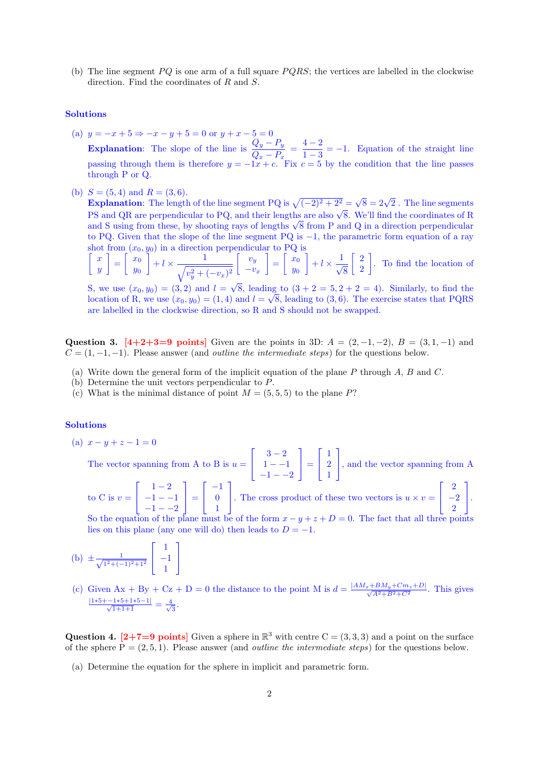(b) The line segment  $PQ$  is one arm of a full square  $PQRS$ ; the vertices are labelled in the clockwise direction. Find the coordinates of R and S.

## Solutions

- (a)  $y = -x + 5 \Rightarrow -x y + 5 = 0$  or  $y + x 5 = 0$ Explanation: The slope of the line is  $\frac{Q_y - P_y}{Q_x - P_x} = \frac{4-2}{1-3}$  $\frac{1}{1-3} = -1$ . Equation of the straight line passing through them is therefore  $y = -1x + c$ . Fix  $c = 5$  by the condition that the line passes through P or Q.
- (b)  $S = (5, 4)$  and  $R = (3, 6)$ .

 $S = (5, 4)$  and  $K = (3, 6)$ .<br>Explanation: The length of the line segment PQ is  $\sqrt{(-2)^2 + 2^2} = \sqrt{8} = 2\sqrt{2}$ . The line segments **Explanation:** The length of the line segment  $\mathbf{r} \mathbf{Q}$  is  $\mathbf{\gamma}(-2)^2 + 2^2 \mathbf{P}(\mathbf{\delta}) = 2\mathbf{\gamma}^2$ . The line segments PS and QR are perpendicular to PQ, and their lengths are also  $\sqrt{8}$ . We'll find the coordinates PS and QR are perpendicular to PQ, and their lengths are also  $\sqrt{8}$ . We'll find the coordinates of R and S using from these, by shooting rays of lengths  $\sqrt{8}$  from P and Q in a direction perpendicular to PQ. Given that the slope of the line segment PQ is −1, the parametric form equation of a ray shot from  $(x_0, y_0)$  in a direction perpendicular to PQ is

$$
\begin{bmatrix} x \\ y \end{bmatrix} = \begin{bmatrix} x_0 \\ y_0 \end{bmatrix} + l \times \frac{1}{\sqrt{v_y^2 + (-v_x)^2}} \begin{bmatrix} v_y \\ -v_x \end{bmatrix} = \begin{bmatrix} x_0 \\ y_0 \end{bmatrix} + l \times \frac{1}{\sqrt{8}} \begin{bmatrix} 2 \\ 2 \end{bmatrix}.
$$
 To find the location of

S, we use  $(x_0, y_0) = (3, 2)$  and  $l =$ 8, leading to  $(3 + 2 = 5, 2 + 2 = 4)$ . Similarly, to find the location of R, we use  $(x_0, y_0) = (1, 4)$  and  $l = \sqrt{8}$ , leading to  $(3, 6)$ . The exercise states that PQRS are labelled in the clockwise direction, so R and S should not be swapped.

Question 3. [4+2+3=9 points] Given are the points in 3D:  $A = (2, -1, -2), B = (3, 1, -1)$  and  $C = (1, -1, -1)$ . Please answer (and *outline the intermediate steps*) for the questions below.

- (a) Write down the general form of the implicit equation of the plane  $P$  through  $A, B$  and  $C$ .
- (b) Determine the unit vectors perpendicular to P.

1  $\overline{1}$ 

(c) What is the minimal distance of point  $M = (5, 5, 5)$  to the plane P?

## Solutions

(a)  $x - y + z - 1 = 0$ 

The vector spanning from A to B is  $u =$  $\lceil$  $\overline{1}$  $3 - 2$  $1 - -1$  $-1 - -2$ 1  $\vert$  = Т  $\overline{\phantom{a}}$ 1 2 1 1 , and the vector spanning from A  $\lceil$  $1-2$ 1  $\sqrt{ }$ −1 1  $\overline{\phantom{a}}$ 2 1

to C is  $v =$  $\overline{\phantom{a}}$  $-1 - -1$  $-1 - -2$  $\vert$  =  $\overline{\phantom{a}}$  $\boldsymbol{0}$ 1 . The cross product of these two vectors is  $u \times v =$  $\overline{\phantom{a}}$  $-2$ 2  $\vert \cdot$ 

So the equation of the plane must be of the form  $x - y + z + D = 0$ . The fact that all three points lies on this plane (any one will do) then leads to  $D = -1$ .

(b) 
$$
\pm \frac{1}{\sqrt{1^2 + (-1)^2 + 1^2}} \begin{bmatrix} 1 \\ -1 \\ 1 \end{bmatrix}
$$

(c) Given  $Ax + By + Cz + D = 0$  the distance to the point M is  $d = \frac{|AM_x + BM_y + Cm_z + D|}{\sqrt{A^2 + B^2 + C^2}}$ . This gives  $\frac{|1*5+{-}1*5+1*5-1|}{\sqrt{1+1+1}} = \frac{4}{\sqrt{1+1+1}}$ ⊧<br>\_\_\_<br>3

Question 4. [2+7=9 points] Given a sphere in  $\mathbb{R}^3$  with centre  $C = (3, 3, 3)$  and a point on the surface of the sphere  $P = (2, 5, 1)$ . Please answer (and *outline the intermediate steps*) for the questions below.

(a) Determine the equation for the sphere in implicit and parametric form.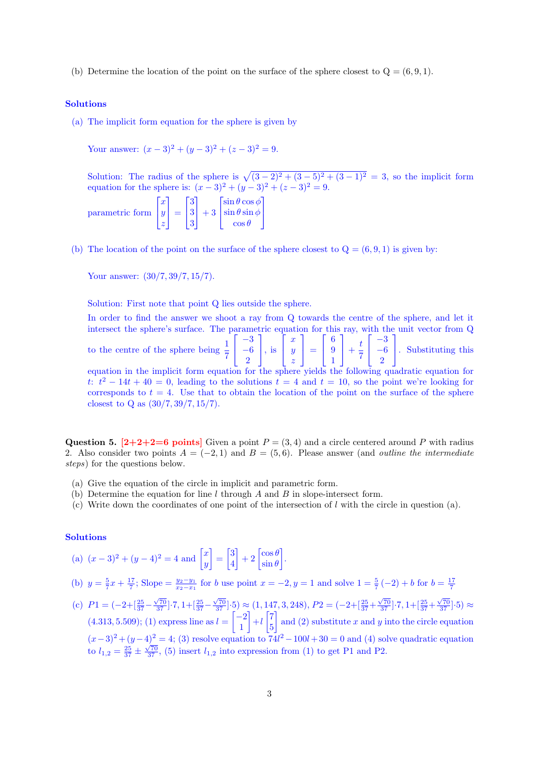(b) Determine the location of the point on the surface of the sphere closest to  $Q = (6, 9, 1)$ .

#### Solutions

(a) The implicit form equation for the sphere is given by

Your answer:  $(x-3)^2 + (y-3)^2 + (z-3)^2 = 9$ .

Solution: The radius of the sphere is  $\sqrt{(3-2)^2+(3-5)^2+(3-1)^2} = 3$ , so the implicit form equation for the sphere is:  $(x-3)^2 + (y-3)^2 + (z-3)^2 = 9$ .

parametric form  $\sqrt{ }$  $\overline{\phantom{a}}$ x  $\hat{y}$ z 1  $\vert$  =  $\sqrt{ }$  $\overline{\phantom{a}}$ 3 3 3 1  $+3$  $\sqrt{ }$  $\overline{\phantom{a}}$  $\sin\theta\cos\phi$  $\sin\theta\sin\phi$  $\cos\theta$ T  $\overline{1}$ 

(b) The location of the point on the surface of the sphere closest to  $Q = (6, 9, 1)$  is given by:

Your answer: (30/7, 39/7, 15/7).

Solution: First note that point Q lies outside the sphere.

In order to find the answer we shoot a ray from Q towards the centre of the sphere, and let it intersect the sphere's surface. The parametric equation for this ray, with the unit vector from Q to the centre of the sphere being  $\frac{1}{7}$  $\sqrt{ }$  $\overline{\phantom{a}}$ −3 −6 2 1  $\Big\vert$ , is  $\overline{1}$  $\overline{\phantom{a}}$  $\boldsymbol{x}$  $\hat{y}$ z 1  $\vert$  = Т  $\overline{\phantom{a}}$ 6 9 1 1  $+\frac{t}{7}$ 7  $\overline{\phantom{a}}$  $\overline{\phantom{a}}$ −3 −6 2 1 . Substituting this equation in the implicit form equation for the sphere yields the following quadratic equation for t:  $t^2 - 14t + 40 = 0$ , leading to the solutions  $t = 4$  and  $t = 10$ , so the point we're looking for corresponds to  $t = 4$ . Use that to obtain the location of the point on the surface of the sphere closest to Q as (30/7, 39/7, 15/7).

Question 5.  $[2+2+2=6$  points Given a point  $P = (3, 4)$  and a circle centered around P with radius 2. Also consider two points  $A = (-2, 1)$  and  $B = (5, 6)$ . Please answer (and *outline the intermediate* steps) for the questions below.

- (a) Give the equation of the circle in implicit and parametric form.
- (b) Determine the equation for line l through A and B in slope-intersect form.
- (c) Write down the coordinates of one point of the intersection of  $l$  with the circle in question (a).

#### Solutions

- (a)  $(x-3)^2 + (y-4)^2 = 4$  and  $\begin{bmatrix} x \\ y \end{bmatrix}$  $\hat{y}$  $=\begin{bmatrix} 3 \\ 4 \end{bmatrix}$ 4  $-2 \left[ \frac{\cos \theta}{\sin \theta} \right]$  $\sin\theta$ .
- (b)  $y = \frac{5}{7}x + \frac{17}{7}$ ; Slope =  $\frac{y_2-y_1}{x_2-x_1}$  for b use point  $x = -2$ ,  $y = 1$  and solve  $1 = \frac{5}{7}(-2) + b$  for  $b = \frac{17}{7}$
- (c)  $P1 = (-2 + \left[\frac{25}{37} \frac{\sqrt{70}}{37}\right] \cdot 7, 1 + \left[\frac{25}{37} \frac{\sqrt{70}}{37}\right] \cdot 5) \approx (1, 147, 3, 248), P2 = (-2 + \left[\frac{25}{37} + \frac{\sqrt{70}}{37}\right] \cdot 7, 1 + \left[\frac{25}{37} + \frac{\sqrt{70}}{37}\right] \cdot 5) \approx (1, 147, 3, 248)$  $(4.313, 5.509);$  (1) express line as  $l = \begin{bmatrix} -2 \\ 1 \end{bmatrix}$ 1  $-1\left[\frac{7}{5}\right]$ 5 and (2) substitute x and y into the circle equation  $(x-3)^{2} + (y-4)^{2} = 4$ ; (3) resolve equation to  $74l^{2} - 100l + 30 = 0$  and (4) solve quadratic equation (a)  $l_{1,2} = \frac{25}{37} \pm \frac{\sqrt{70}}{37}$ , (5) insert  $l_{1,2}$  into expression from (1) to get P1 and P2.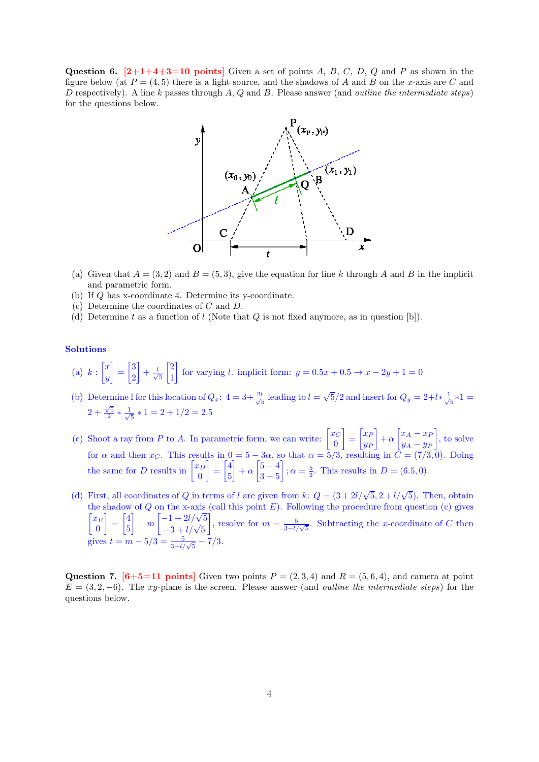Question 6.  $[2+1+4+3=10$  points Given a set of points A, B, C, D, Q and P as shown in the figure below (at  $P = (4, 5)$  there is a light source, and the shadows of A and B on the x-axis are C and D respectively). A line k passes through  $A, Q$  and  $B$ . Please answer (and *outline the intermediate steps*) for the questions below.



- (a) Given that  $A = (3, 2)$  and  $B = (5, 3)$ , give the equation for line k through A and B in the implicit and parametric form.
- (b) If Q has x-coordinate 4. Determine its y-coordinate.
- (c) Determine the coordinates of C and D.
- (d) Determine t as a function of l (Note that  $Q$  is not fixed anymore, as in question [b]).

### Solutions

- (a)  $k:\left[\begin{matrix}x\\u\end{matrix}\right]$  $\hat{y}$  $\Big] = \Big[\frac{3}{2}\Big]$ 2  $+\frac{l}{l}$ 5  $\lceil 2 \rceil$ 1 for varying l. implicit form:  $y = 0.5x + 0.5 \rightarrow x - 2y + 1 = 0$
- (b) Determine l for this location of  $Q_x$ :  $4 = 3 + \frac{2l}{\sqrt{2}}$  $\frac{l}{5}$  leading to  $l =$ √  $\sqrt{5}/2$  and insert for  $Q_y = 2 + l * \frac{1}{\sqrt{2}}$  $\frac{1}{5}*1=$  $2+\frac{\sqrt{5}}{2}*\frac{1}{\sqrt{2}}$  $\frac{1}{5} * 1 = 2 + 1/2 = 2.5$
- (c) Shoot a ray from P to A. In parametric form, we can write:  $\begin{bmatrix} x_C \\ 0 \end{bmatrix}$ 0  $\Big] = \Big[ \begin{matrix} x_F \end{matrix} \Big]$  $y_F$  $\Big] + \alpha \Big[ x_A - x_B \Big]$  $y_A - y_F$  , to solve for  $\alpha$  and then  $x_C$ . This results in  $0 = 5 - 3\alpha$ , so that  $\alpha = 5/3$ , resulting in  $C = (7/3, 0)$ . Doing the same for D results in  $\begin{bmatrix} x_D \\ 0 \end{bmatrix}$  $\overline{0}$  $=\begin{bmatrix} 4 \ 7 \end{bmatrix}$ 5  $-\left( \frac{5}{2} - \frac{4}{5} \right)$  $3 - 5$  $\Big]$ ;  $\alpha = \frac{5}{2}$ . This results in  $D = (6.5, 0)$ .
- (d) First, all coordinates of Q in terms of l are given from k:  $Q = (3 + 2l/\sqrt{5}, 2 + l/\sqrt{5})$ . Then, obtain the shadow of  $Q$  on the x-axis (call this point  $E$ ). Following the procedure from question (c) gives  $\lceil x_E \rceil$ 0  $=\begin{bmatrix} 4 \ 2 \end{bmatrix}$ 5 of Q on the x-axis<br>  $+ m \begin{bmatrix} -1 + 2l/\sqrt{5} \\ -3 + l/\sqrt{5} \end{bmatrix}$ , resolve for  $m = \frac{5}{3-l/\sqrt{5}}$ . Subtracting the x-coordinate of C then gives  $t = m - 5/3 = \frac{5}{3 - l/\sqrt{5}} - 7/3$ .

Question 7.  $[6+5=11]$  points  $\overline{P} = (2,3,4)$  and  $R = (5,6,4)$ , and camera at point  $E = (3, 2, -6)$ . The xy-plane is the screen. Please answer (and *outline the intermediate steps*) for the questions below.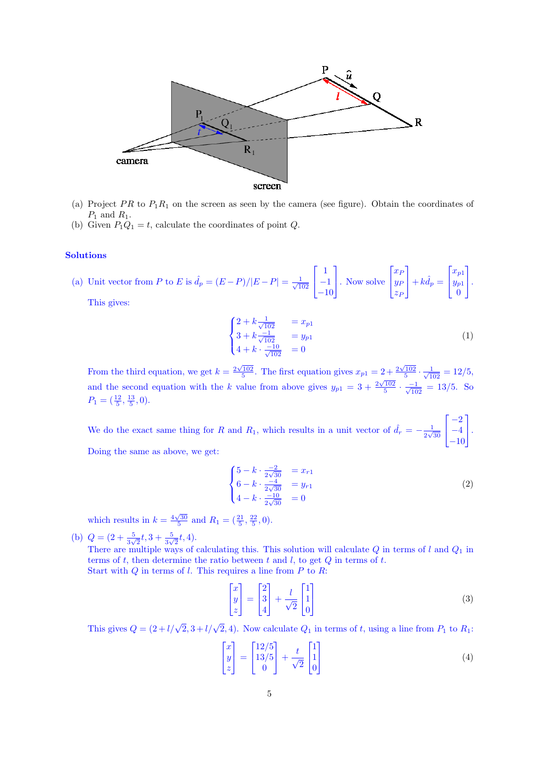

- (a) Project PR to  $P_1R_1$  on the screen as seen by the camera (see figure). Obtain the coordinates of  $P_1$  and  $R_1$ .
- (b) Given  $P_1Q_1 = t$ , calculate the coordinates of point Q.

## Solutions

(a) Unit vector from P to E is  $\hat{d}_p = (E - P)/|E - P| = \frac{1}{\sqrt{1}}$  $102$  $\overline{1}$  $\overline{\phantom{a}}$ 1 −1 −10 1 . Now solve  $\overline{1}$  $\overline{\phantom{a}}$  $\stackrel{\cdot }{x_F}$  $y_F$  $z_F$ 1  $+ k \hat{d}_p =$  $\overline{\phantom{a}}$  $\overline{\phantom{a}}$  $\stackrel{\cdot}{x_{p1}}$  $y_{p1}$ 0 1  $\vert \cdot$ 

This gives:

$$
\begin{cases} 2 + k \frac{1}{\sqrt{102}} & = x_{p1} \\ 3 + k \frac{-1}{\sqrt{102}} & = y_{p1} \\ 4 + k \cdot \frac{-10}{\sqrt{102}} & = 0 \end{cases}
$$
 (1)

From the third equation, we get  $k = \frac{2\sqrt{102}}{5}$ . The first equation gives  $x_{p1} = 2 + \frac{2\sqrt{102}}{5} \cdot \frac{1}{\sqrt{102}} = 12/5$ , and the second equation with the k value from above gives  $y_{p1} = 3 + \frac{2\sqrt{102}}{5} \cdot \frac{1}{\sqrt{102}} = 13/5$ . So  $P_1 = (\frac{12}{5}, \frac{13}{5}, 0).$ 

We do the exact same thing for R and R<sub>1</sub>, which results in a unit vector of  $\hat{d}_r = -\frac{1}{2\sqrt{2}}$  $\frac{1}{2\sqrt{30}}$  $\overline{\phantom{a}}$  $\overline{\phantom{a}}$  $-2$ −4 −10 1  $\vert \cdot$ 

Doing the same as above, we get:

$$
\begin{cases}\n5 - k \cdot \frac{-2}{2\sqrt{30}} &= x_{r1} \\
6 - k \cdot \frac{-4}{2\sqrt{30}} &= y_{r1} \\
4 - k \cdot \frac{-10}{2\sqrt{30}} &= 0\n\end{cases}
$$
\n(2)

which results in  $k = \frac{4\sqrt{30}}{5}$  and  $R_1 = (\frac{21}{5}, \frac{22}{5}, 0)$ .

(b)  $Q = \left(2 + \frac{5}{3\sqrt{2}}t, 3 + \frac{5}{3\sqrt{2}}t, 4\right)$ .

There are multiple ways of calculating this. This solution will calculate  $Q$  in terms of l and  $Q_1$  in terms of t, then determine the ratio between t and l, to get  $Q$  in terms of t. Start with  $Q$  in terms of l. This requires a line from  $P$  to  $R$ :

$$
\begin{bmatrix} x \\ y \\ z \end{bmatrix} = \begin{bmatrix} 2 \\ 3 \\ 4 \end{bmatrix} + \frac{l}{\sqrt{2}} \begin{bmatrix} 1 \\ 1 \\ 0 \end{bmatrix} \tag{3}
$$

This gives  $Q = (2 + l/\sqrt{2}, 3 + l/\sqrt{2}, 4)$ . Now calculate  $Q_1$  in terms of t, using a line from  $P_1$  to  $R_1$ :

$$
\begin{bmatrix} x \\ y \\ z \end{bmatrix} = \begin{bmatrix} 12/5 \\ 13/5 \\ 0 \end{bmatrix} + \frac{t}{\sqrt{2}} \begin{bmatrix} 1 \\ 1 \\ 0 \end{bmatrix} \tag{4}
$$